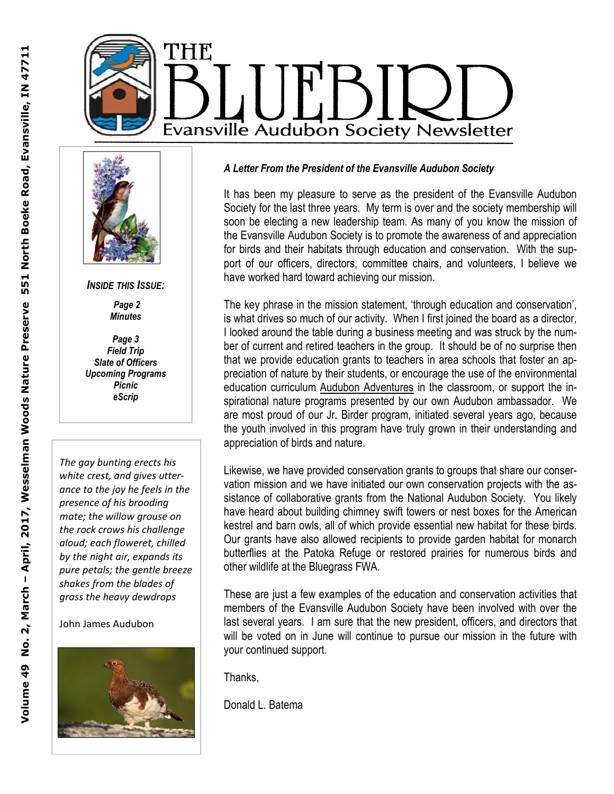



*INSIDE THIS ISSUE:* 

 *Page 2 Minutes* 

*Page 3 Field Trip Slate of Officers Upcoming Programs Picnic eScrip* 

*The gay bunting erects his white crest, and gives utterance to the joy he feels in the presence of his brooding mate; the willow grouse on the rock crows his challenge aloud; each floweret, chilled by the night air, expands its pure petals; the gentle breeze shakes from the blades of grass the heavy dewdrops* 

John James Audubon



#### *A Letter From the President of the Evansville Audubon Society*

It has been my pleasure to serve as the president of the Evansville Audubon Society for the last three years. My term is over and the society membership will soon be electing a new leadership team. As many of you know the mission of the Evansville Audubon Society is to promote the awareness of and appreciation for birds and their habitats through education and conservation. With the support of our officers, directors, committee chairs, and volunteers, I believe we have worked hard toward achieving our mission.

The key phrase in the mission statement, 'through education and conservation', is what drives so much of our activity. When I first joined the board as a director, I looked around the table during a business meeting and was struck by the number of current and retired teachers in the group. It should be of no surprise then that we provide education grants to teachers in area schools that foster an appreciation of nature by their students, or encourage the use of the environmental education curriculum Audubon Adventures in the classroom, or support the inspirational nature programs presented by our own Audubon ambassador. We are most proud of our Jr. Birder program, initiated several years ago, because the youth involved in this program have truly grown in their understanding and appreciation of birds and nature.

Likewise, we have provided conservation grants to groups that share our conservation mission and we have initiated our own conservation projects with the assistance of collaborative grants from the National Audubon Society. You likely have heard about building chimney swift towers or nest boxes for the American kestrel and barn owls, all of which provide essential new habitat for these birds. Our grants have also allowed recipients to provide garden habitat for monarch butterflies at the Patoka Refuge or restored prairies for numerous birds and other wildlife at the Bluegrass FWA.

These are just a few examples of the education and conservation activities that members of the Evansville Audubon Society have been involved with over the last several years. I am sure that the new president, officers, and directors that will be voted on in June will continue to pursue our mission in the future with your continued support.

Thanks,

Donald L. Batema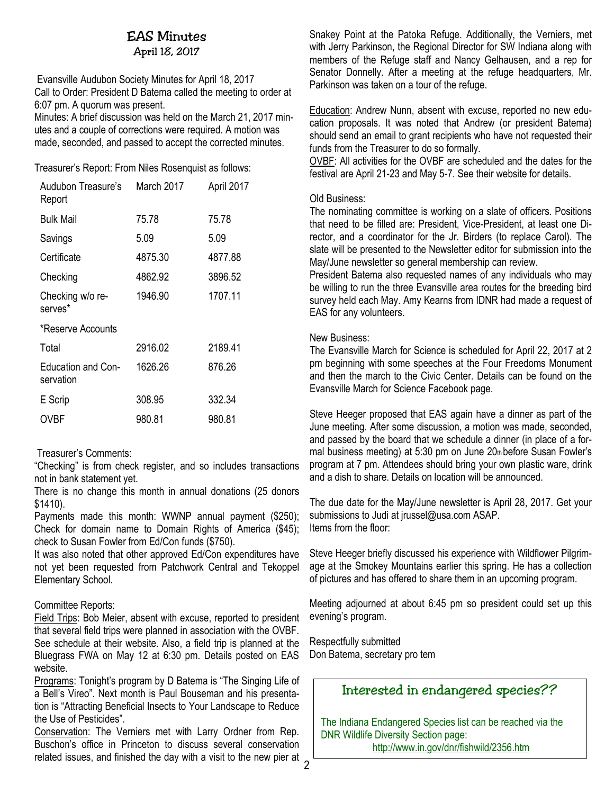# EAS Minutes

April 18, 2017

Evansville Audubon Society Minutes for April 18, 2017 Call to Order: President D Batema called the meeting to order at 6:07 pm. A quorum was present.

Minutes: A brief discussion was held on the March 21, 2017 minutes and a couple of corrections were required. A motion was made, seconded, and passed to accept the corrected minutes.

Treasurer's Report: From Niles Rosenquist as follows:

| Audubon Treasure's<br>Report    | March 2017 | April 2017 |
|---------------------------------|------------|------------|
| <b>Bulk Mail</b>                | 75.78      | 75.78      |
| Savings                         | 5.09       | 5.09       |
| Certificate                     | 4875.30    | 4877.88    |
| Checking                        | 4862.92    | 3896.52    |
| Checking w/o re-<br>serves*     | 1946.90    | 1707.11    |
| *Reserve Accounts               |            |            |
| Total                           | 2916.02    | 2189.41    |
| Education and Con-<br>servation | 1626.26    | 876.26     |
| E Scrip                         | 308.95     | 332.34     |
| OVBF                            | 980.81     | 980.81     |

#### Treasurer's Comments:

"Checking" is from check register, and so includes transactions not in bank statement yet.

There is no change this month in annual donations (25 donors \$1410).

Payments made this month: WWNP annual payment (\$250); Check for domain name to Domain Rights of America (\$45); check to Susan Fowler from Ed/Con funds (\$750).

It was also noted that other approved Ed/Con expenditures have not yet been requested from Patchwork Central and Tekoppel Elementary School.

#### Committee Reports:

Field Trips: Bob Meier, absent with excuse, reported to president that several field trips were planned in association with the OVBF. See schedule at their website. Also, a field trip is planned at the Bluegrass FWA on May 12 at 6:30 pm. Details posted on EAS website.

Programs: Tonight's program by D Batema is "The Singing Life of a Bell's Vireo". Next month is Paul Bouseman and his presentation is "Attracting Beneficial Insects to Your Landscape to Reduce the Use of Pesticides".

Conservation: The Verniers met with Larry Ordner from Rep. Buschon's office in Princeton to discuss several conservation related issues, and finished the day with a visit to the new pier at Snakey Point at the Patoka Refuge. Additionally, the Verniers, met with Jerry Parkinson, the Regional Director for SW Indiana along with members of the Refuge staff and Nancy Gelhausen, and a rep for Senator Donnelly. After a meeting at the refuge headquarters, Mr. Parkinson was taken on a tour of the refuge.

Education: Andrew Nunn, absent with excuse, reported no new education proposals. It was noted that Andrew (or president Batema) should send an email to grant recipients who have not requested their funds from the Treasurer to do so formally.

OVBF: All activities for the OVBF are scheduled and the dates for the festival are April 21-23 and May 5-7. See their website for details.

#### Old Business:

The nominating committee is working on a slate of officers. Positions that need to be filled are: President, Vice-President, at least one Director, and a coordinator for the Jr. Birders (to replace Carol). The slate will be presented to the Newsletter editor for submission into the May/June newsletter so general membership can review.

President Batema also requested names of any individuals who may be willing to run the three Evansville area routes for the breeding bird survey held each May. Amy Kearns from IDNR had made a request of EAS for any volunteers.

#### New Business:

The Evansville March for Science is scheduled for April 22, 2017 at 2 pm beginning with some speeches at the Four Freedoms Monument and then the march to the Civic Center. Details can be found on the Evansville March for Science Facebook page.

Steve Heeger proposed that EAS again have a dinner as part of the June meeting. After some discussion, a motion was made, seconded, and passed by the board that we schedule a dinner (in place of a formal business meeting) at 5:30 pm on June 20th before Susan Fowler's program at 7 pm. Attendees should bring your own plastic ware, drink and a dish to share. Details on location will be announced.

The due date for the May/June newsletter is April 28, 2017. Get your submissions to Judi at jrussel@usa.com ASAP. Items from the floor:

Steve Heeger briefly discussed his experience with Wildflower Pilgrimage at the Smokey Mountains earlier this spring. He has a collection of pictures and has offered to share them in an upcoming program.

Meeting adjourned at about 6:45 pm so president could set up this evening's program.

Respectfully submitted Don Batema, secretary pro tem

### Interested in endangered species??

The Indiana Endangered Species list can be reached via the DNR Wildlife Diversity Section page: http://www.in.gov/dnr/fishwild/2356.htm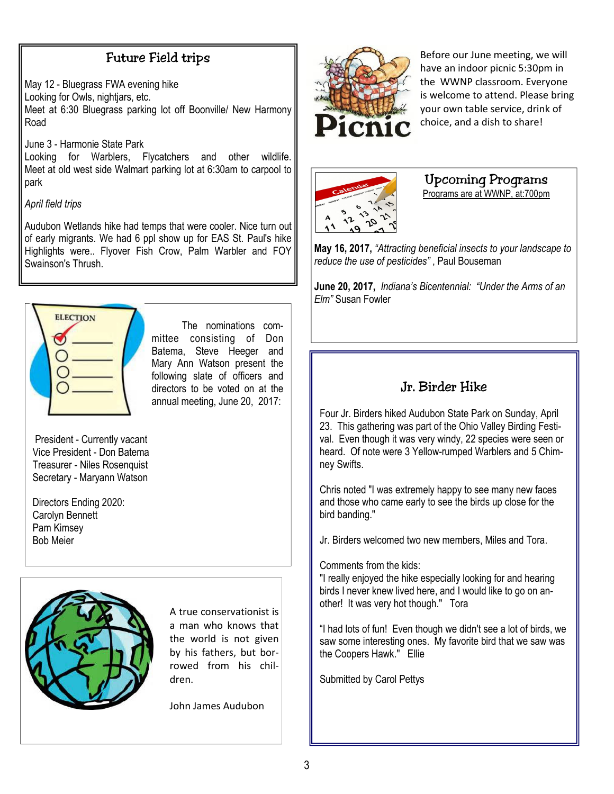## Future Field trips

May 12 - Bluegrass FWA evening hike Looking for Owls, nightjars, etc. Meet at 6:30 Bluegrass parking lot off Boonville/ New Harmony Road

June 3 - Harmonie State Park

Looking for Warblers, Flycatchers and other wildlife. Meet at old west side Walmart parking lot at 6:30am to carpool to park

*April field trips*

Audubon Wetlands hike had temps that were cooler. Nice turn out of early migrants. We had 6 ppl show up for EAS St. Paul's hike Highlights were.. Flyover Fish Crow, Palm Warbler and FOY Swainson's Thrush.



 The nominations committee consisting of Don Batema, Steve Heeger and Mary Ann Watson present the following slate of officers and directors to be voted on at the annual meeting, June 20, 2017:

 President - Currently vacant Vice President - Don Batema Treasurer - Niles Rosenquist Secretary - Maryann Watson

Directors Ending 2020: Carolyn Bennett Pam Kimsey Bob Meier



A true conservationist is a man who knows that the world is not given by his fathers, but borrowed from his children.

John James Audubon



Before our June meeting, we will have an indoor picnic 5:30pm in the WWNP classroom. Everyone is welcome to attend. Please bring your own table service, drink of choice, and a dish to share!



### Upcoming Programs

Programs are at WWNP, at:700pm

**May 16, 2017,** *"Attracting beneficial insects to your landscape to reduce the use of pesticides"* , Paul Bouseman

**June 20, 2017,** *Indiana's Bicentennial: "Under the Arms of an Elm"* Susan Fowler

# Jr. Birder Hike

Four Jr. Birders hiked Audubon State Park on Sunday, April 23. This gathering was part of the Ohio Valley Birding Festival. Even though it was very windy, 22 species were seen or heard. Of note were 3 Yellow-rumped Warblers and 5 Chimney Swifts.

Chris noted "I was extremely happy to see many new faces and those who came early to see the birds up close for the bird banding."

Jr. Birders welcomed two new members, Miles and Tora.

Comments from the kids:

"I really enjoyed the hike especially looking for and hearing birds I never knew lived here, and I would like to go on another! It was very hot though." Tora

"I had lots of fun! Even though we didn't see a lot of birds, we saw some interesting ones. My favorite bird that we saw was the Coopers Hawk." Ellie

Submitted by Carol Pettys